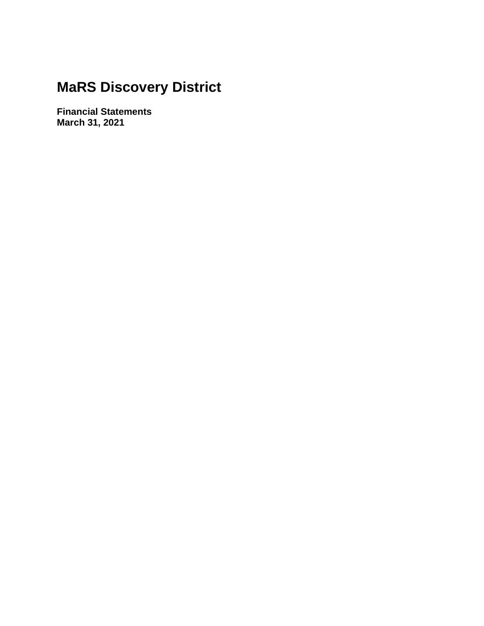**Financial Statements March 31, 2021**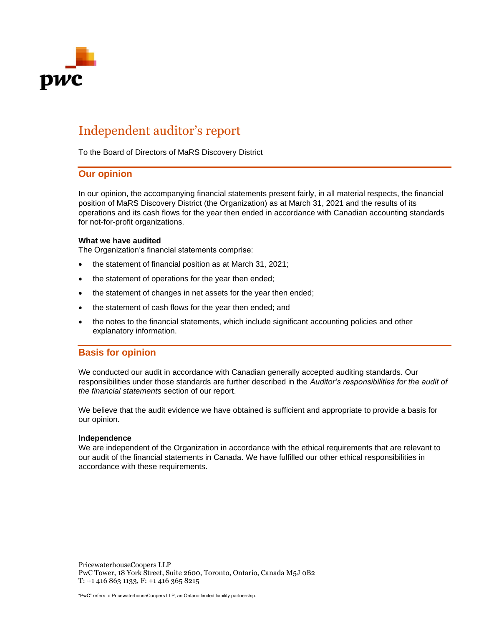

# Independent auditor's report

To the Board of Directors of MaRS Discovery District

### **Our opinion**

In our opinion, the accompanying financial statements present fairly, in all material respects, the financial position of MaRS Discovery District (the Organization) as at March 31, 2021 and the results of its operations and its cash flows for the year then ended in accordance with Canadian accounting standards for not-for-profit organizations.

#### **What we have audited**

The Organization's financial statements comprise:

- the statement of financial position as at March 31, 2021;
- the statement of operations for the year then ended;
- the statement of changes in net assets for the year then ended;
- the statement of cash flows for the year then ended; and
- the notes to the financial statements, which include significant accounting policies and other explanatory information.

### **Basis for opinion**

We conducted our audit in accordance with Canadian generally accepted auditing standards. Our responsibilities under those standards are further described in the *Auditor's responsibilities for the audit of the financial statements* section of our report.

We believe that the audit evidence we have obtained is sufficient and appropriate to provide a basis for our opinion.

#### **Independence**

We are independent of the Organization in accordance with the ethical requirements that are relevant to our audit of the financial statements in Canada. We have fulfilled our other ethical responsibilities in accordance with these requirements.

PricewaterhouseCoopers LLP PwC Tower, 18 York Street, Suite 2600, Toronto, Ontario, Canada M5J 0B2 T: +1 416 863 1133, F: +1 416 365 8215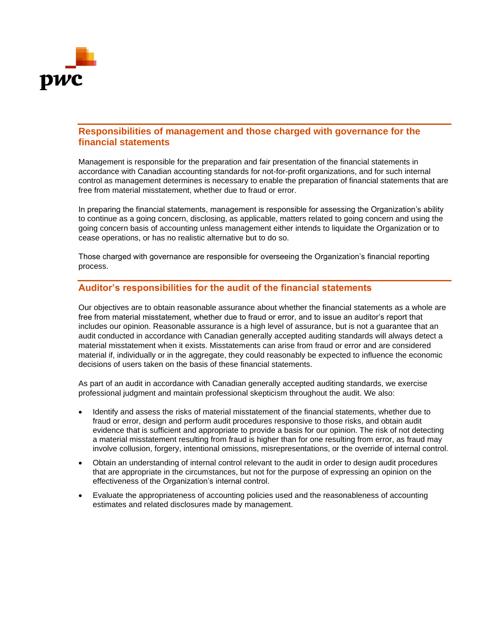

### **Responsibilities of management and those charged with governance for the financial statements**

Management is responsible for the preparation and fair presentation of the financial statements in accordance with Canadian accounting standards for not-for-profit organizations, and for such internal control as management determines is necessary to enable the preparation of financial statements that are free from material misstatement, whether due to fraud or error.

In preparing the financial statements, management is responsible for assessing the Organization's ability to continue as a going concern, disclosing, as applicable, matters related to going concern and using the going concern basis of accounting unless management either intends to liquidate the Organization or to cease operations, or has no realistic alternative but to do so.

Those charged with governance are responsible for overseeing the Organization's financial reporting process.

### **Auditor's responsibilities for the audit of the financial statements**

Our objectives are to obtain reasonable assurance about whether the financial statements as a whole are free from material misstatement, whether due to fraud or error, and to issue an auditor's report that includes our opinion. Reasonable assurance is a high level of assurance, but is not a guarantee that an audit conducted in accordance with Canadian generally accepted auditing standards will always detect a material misstatement when it exists. Misstatements can arise from fraud or error and are considered material if, individually or in the aggregate, they could reasonably be expected to influence the economic decisions of users taken on the basis of these financial statements.

As part of an audit in accordance with Canadian generally accepted auditing standards, we exercise professional judgment and maintain professional skepticism throughout the audit. We also:

- Identify and assess the risks of material misstatement of the financial statements, whether due to fraud or error, design and perform audit procedures responsive to those risks, and obtain audit evidence that is sufficient and appropriate to provide a basis for our opinion. The risk of not detecting a material misstatement resulting from fraud is higher than for one resulting from error, as fraud may involve collusion, forgery, intentional omissions, misrepresentations, or the override of internal control.
- Obtain an understanding of internal control relevant to the audit in order to design audit procedures that are appropriate in the circumstances, but not for the purpose of expressing an opinion on the effectiveness of the Organization's internal control.
- Evaluate the appropriateness of accounting policies used and the reasonableness of accounting estimates and related disclosures made by management.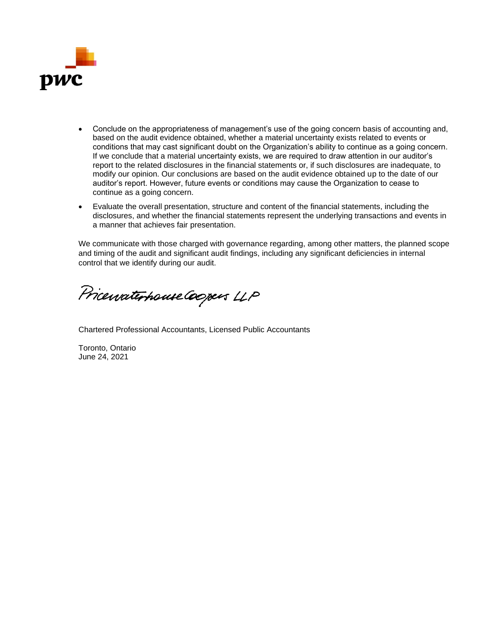

- Conclude on the appropriateness of management's use of the going concern basis of accounting and, based on the audit evidence obtained, whether a material uncertainty exists related to events or conditions that may cast significant doubt on the Organization's ability to continue as a going concern. If we conclude that a material uncertainty exists, we are required to draw attention in our auditor's report to the related disclosures in the financial statements or, if such disclosures are inadequate, to modify our opinion. Our conclusions are based on the audit evidence obtained up to the date of our auditor's report. However, future events or conditions may cause the Organization to cease to continue as a going concern.
- Evaluate the overall presentation, structure and content of the financial statements, including the disclosures, and whether the financial statements represent the underlying transactions and events in a manner that achieves fair presentation.

We communicate with those charged with governance regarding, among other matters, the planned scope and timing of the audit and significant audit findings, including any significant deficiencies in internal control that we identify during our audit.

Pricewaterhouse Coopers LLP

Chartered Professional Accountants, Licensed Public Accountants

Toronto, Ontario June 24, 2021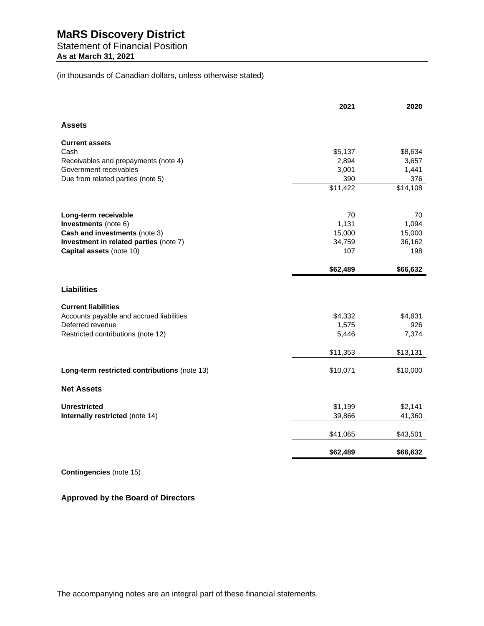# Statement of Financial Position

**As at March 31, 2021**

(in thousands of Canadian dollars, unless otherwise stated)

|                                              | 2021     | 2020                 |
|----------------------------------------------|----------|----------------------|
| <b>Assets</b>                                |          |                      |
| <b>Current assets</b>                        |          |                      |
| Cash                                         | \$5,137  | \$8,634              |
| Receivables and prepayments (note 4)         | 2,894    | 3,657                |
| Government receivables                       | 3,001    | 1,441                |
| Due from related parties (note 5)            | 390      | 376                  |
|                                              | \$11,422 | $\overline{$}14,108$ |
| Long-term receivable                         | 70       | 70                   |
| Investments (note 6)                         | 1,131    | 1,094                |
| Cash and investments (note 3)                | 15,000   | 15,000               |
| Investment in related parties (note 7)       | 34,759   | 36,162               |
| Capital assets (note 10)                     | 107      | 198                  |
|                                              | \$62,489 | \$66,632             |
| <b>Liabilities</b>                           |          |                      |
| <b>Current liabilities</b>                   |          |                      |
| Accounts payable and accrued liabilities     | \$4,332  | \$4,831              |
| Deferred revenue                             | 1,575    | 926                  |
| Restricted contributions (note 12)           | 5,446    | 7,374                |
|                                              | \$11,353 | \$13,131             |
| Long-term restricted contributions (note 13) | \$10,071 | \$10,000             |
| <b>Net Assets</b>                            |          |                      |
| <b>Unrestricted</b>                          | \$1,199  | \$2,141              |
| Internally restricted (note 14)              | 39,866   | 41,360               |
|                                              | \$41,065 | \$43,501             |
|                                              | \$62,489 | \$66,632             |

**Contingencies** (note 15)

### **Approved by the Board of Directors**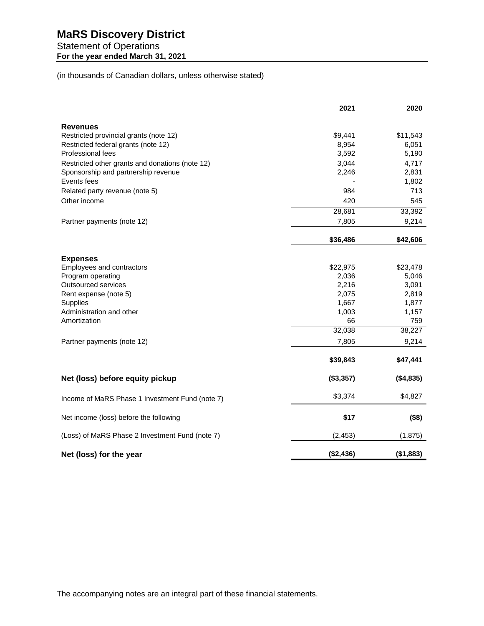Statement of Operations **For the year ended March 31, 2021**

(in thousands of Canadian dollars, unless otherwise stated)

|                                                 | 2021              | 2020              |
|-------------------------------------------------|-------------------|-------------------|
| <b>Revenues</b>                                 |                   |                   |
| Restricted provincial grants (note 12)          | \$9,441           | \$11,543          |
| Restricted federal grants (note 12)             | 8,954             | 6,051             |
| Professional fees                               | 3,592             | 5,190             |
| Restricted other grants and donations (note 12) | 3,044             | 4,717             |
| Sponsorship and partnership revenue             | 2,246             | 2,831             |
| Events fees                                     |                   | 1,802             |
| Related party revenue (note 5)                  | 984               | 713               |
| Other income                                    | 420               | 545               |
|                                                 | 28,681            | 33,392            |
| Partner payments (note 12)                      | 7,805             | 9,214             |
|                                                 | \$36,486          | \$42,606          |
|                                                 |                   |                   |
| <b>Expenses</b>                                 |                   |                   |
| Employees and contractors<br>Program operating  | \$22,975<br>2,036 | \$23,478<br>5,046 |
| Outsourced services                             | 2,216             | 3,091             |
| Rent expense (note 5)                           | 2,075             | 2,819             |
| <b>Supplies</b>                                 | 1,667             | 1,877             |
| Administration and other                        | 1,003             | 1,157             |
| Amortization                                    | 66                | 759               |
|                                                 | 32,038            | 38,227            |
| Partner payments (note 12)                      | 7,805             | 9,214             |
|                                                 | \$39,843          | \$47,441          |
|                                                 |                   |                   |
| Net (loss) before equity pickup                 | (\$3,357)         | (\$4,835)         |
| Income of MaRS Phase 1 Investment Fund (note 7) | \$3,374           | \$4,827           |
| Net income (loss) before the following          | \$17              | (\$8)             |
| (Loss) of MaRS Phase 2 Investment Fund (note 7) | (2, 453)          | (1, 875)          |
|                                                 |                   |                   |
| Net (loss) for the year                         | (\$2,436)         | (\$1,883)         |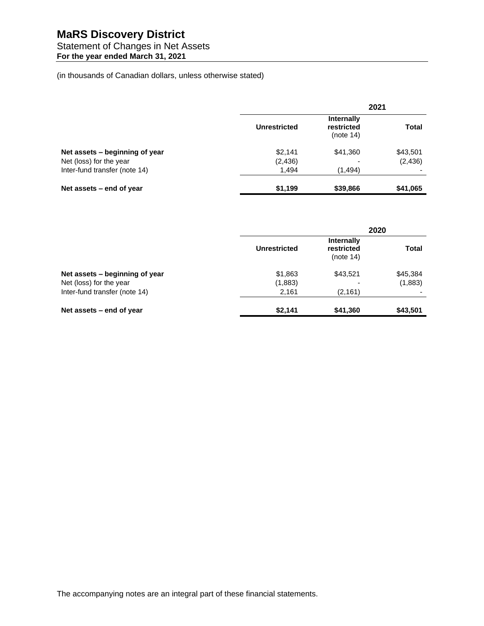### Statement of Changes in Net Assets

**For the year ended March 31, 2021**

(in thousands of Canadian dollars, unless otherwise stated)

|                                |                     |                                              | 2021     |
|--------------------------------|---------------------|----------------------------------------------|----------|
|                                | <b>Unrestricted</b> | <b>Internally</b><br>restricted<br>(note 14) | Total    |
| Net assets – beginning of year | \$2,141             | \$41,360                                     | \$43,501 |
| Net (loss) for the year        | (2, 436)            |                                              | (2, 436) |
| Inter-fund transfer (note 14)  | 1.494               | (1, 494)                                     |          |
| Net assets – end of year       | \$1,199             | \$39,866                                     | \$41,065 |

|                                | 2020         |                                              |              |
|--------------------------------|--------------|----------------------------------------------|--------------|
|                                | Unrestricted | <b>Internally</b><br>restricted<br>(note 14) | <b>Total</b> |
| Net assets – beginning of year | \$1,863      | \$43,521                                     | \$45,384     |
| Net (loss) for the year        | (1,883)      |                                              | (1,883)      |
| Inter-fund transfer (note 14)  | 2,161        | (2, 161)                                     |              |
| Net assets – end of year       | \$2,141      | \$41,360                                     | \$43,501     |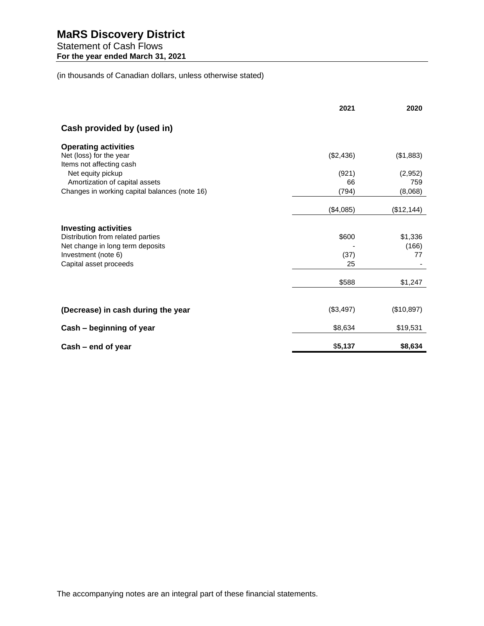Statement of Cash Flows **For the year ended March 31, 2021**

(in thousands of Canadian dollars, unless otherwise stated)

|                                                     | 2021      | 2020        |
|-----------------------------------------------------|-----------|-------------|
| Cash provided by (used in)                          |           |             |
| <b>Operating activities</b>                         |           |             |
| Net (loss) for the year<br>Items not affecting cash | (\$2,436) | (\$1,883)   |
| Net equity pickup                                   | (921)     | (2,952)     |
| Amortization of capital assets                      | 66        | 759         |
| Changes in working capital balances (note 16)       | (794)     | (8,068)     |
|                                                     | (\$4,085) | (\$12, 144) |
| <b>Investing activities</b>                         |           |             |
| Distribution from related parties                   | \$600     | \$1,336     |
| Net change in long term deposits                    |           | (166)       |
| Investment (note 6)                                 | (37)      | 77          |
| Capital asset proceeds                              | 25        |             |
|                                                     | \$588     | \$1,247     |
|                                                     |           |             |
| (Decrease) in cash during the year                  | (\$3,497) | (\$10,897)  |
| Cash - beginning of year                            | \$8,634   | \$19,531    |
| Cash – end of year                                  | \$5,137   | \$8,634     |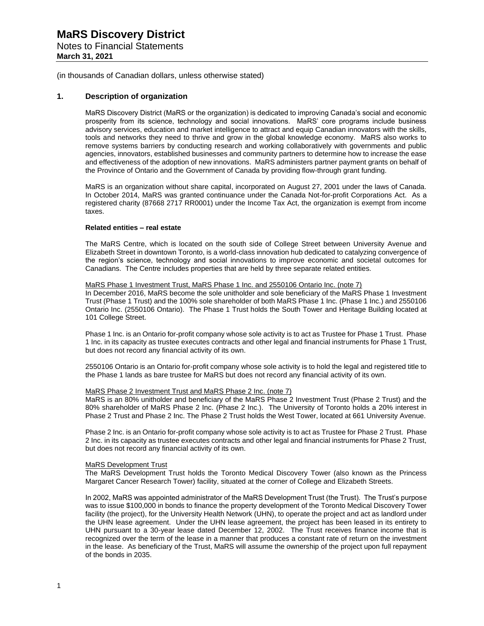Notes to Financial Statements **March 31, 2021**

(in thousands of Canadian dollars, unless otherwise stated)

#### **1. Description of organization**

MaRS Discovery District (MaRS or the organization) is dedicated to improving Canada's social and economic prosperity from its science, technology and social innovations. MaRS' core programs include business advisory services, education and market intelligence to attract and equip Canadian innovators with the skills, tools and networks they need to thrive and grow in the global knowledge economy. MaRS also works to remove systems barriers by conducting research and working collaboratively with governments and public agencies, innovators, established businesses and community partners to determine how to increase the ease and effectiveness of the adoption of new innovations. MaRS administers partner payment grants on behalf of the Province of Ontario and the Government of Canada by providing flow-through grant funding.

MaRS is an organization without share capital, incorporated on August 27, 2001 under the laws of Canada. In October 2014, MaRS was granted continuance under the Canada Not-for-profit Corporations Act. As a registered charity (87668 2717 RR0001) under the Income Tax Act, the organization is exempt from income taxes.

#### **Related entities – real estate**

The MaRS Centre, which is located on the south side of College Street between University Avenue and Elizabeth Street in downtown Toronto, is a world-class innovation hub dedicated to catalyzing convergence of the region's science, technology and social innovations to improve economic and societal outcomes for Canadians. The Centre includes properties that are held by three separate related entities.

#### MaRS Phase 1 Investment Trust, MaRS Phase 1 Inc. and 2550106 Ontario Inc. (note 7)

In December 2016, MaRS become the sole unitholder and sole beneficiary of the MaRS Phase 1 Investment Trust (Phase 1 Trust) and the 100% sole shareholder of both MaRS Phase 1 Inc. (Phase 1 Inc.) and 2550106 Ontario Inc. (2550106 Ontario). The Phase 1 Trust holds the South Tower and Heritage Building located at 101 College Street.

Phase 1 Inc. is an Ontario for-profit company whose sole activity is to act as Trustee for Phase 1 Trust. Phase 1 Inc. in its capacity as trustee executes contracts and other legal and financial instruments for Phase 1 Trust, but does not record any financial activity of its own.

2550106 Ontario is an Ontario for-profit company whose sole activity is to hold the legal and registered title to the Phase 1 lands as bare trustee for MaRS but does not record any financial activity of its own.

#### MaRS Phase 2 Investment Trust and MaRS Phase 2 Inc. (note 7)

MaRS is an 80% unitholder and beneficiary of the MaRS Phase 2 Investment Trust (Phase 2 Trust) and the 80% shareholder of MaRS Phase 2 Inc. (Phase 2 Inc.). The University of Toronto holds a 20% interest in Phase 2 Trust and Phase 2 Inc. The Phase 2 Trust holds the West Tower, located at 661 University Avenue.

Phase 2 Inc. is an Ontario for-profit company whose sole activity is to act as Trustee for Phase 2 Trust. Phase 2 Inc. in its capacity as trustee executes contracts and other legal and financial instruments for Phase 2 Trust, but does not record any financial activity of its own.

#### MaRS Development Trust

The MaRS Development Trust holds the Toronto Medical Discovery Tower (also known as the Princess Margaret Cancer Research Tower) facility, situated at the corner of College and Elizabeth Streets.

In 2002, MaRS was appointed administrator of the MaRS Development Trust (the Trust). The Trust's purpose was to issue \$100,000 in bonds to finance the property development of the Toronto Medical Discovery Tower facility (the project), for the University Health Network (UHN), to operate the project and act as landlord under the UHN lease agreement. Under the UHN lease agreement, the project has been leased in its entirety to UHN pursuant to a 30-year lease dated December 12, 2002. The Trust receives finance income that is recognized over the term of the lease in a manner that produces a constant rate of return on the investment in the lease. As beneficiary of the Trust, MaRS will assume the ownership of the project upon full repayment of the bonds in 2035.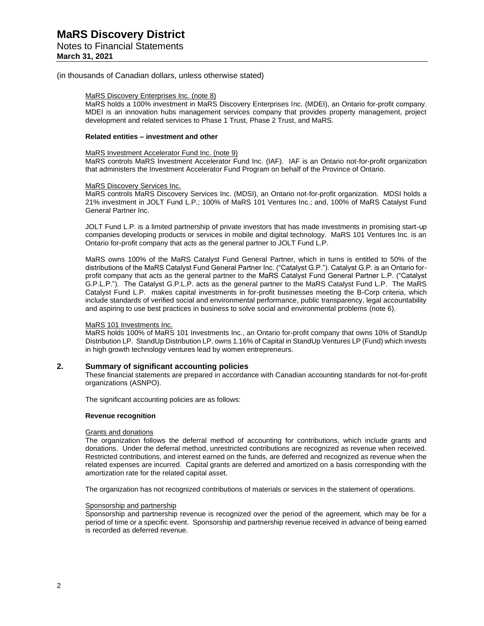#### Notes to Financial Statements **March 31, 2021**

(in thousands of Canadian dollars, unless otherwise stated)

#### MaRS Discovery Enterprises Inc. (note 8)

MaRS holds a 100% investment in MaRS Discovery Enterprises Inc. (MDEI), an Ontario for-profit company. MDEI is an innovation hubs management services company that provides property management, project development and related services to Phase 1 Trust, Phase 2 Trust, and MaRS.

#### **Related entities – investment and other**

#### MaRS Investment Accelerator Fund Inc. (note 9)

MaRS controls MaRS Investment Accelerator Fund Inc. (IAF). IAF is an Ontario not-for-profit organization that administers the Investment Accelerator Fund Program on behalf of the Province of Ontario.

#### MaRS Discovery Services Inc.

MaRS controls MaRS Discovery Services Inc. (MDSI), an Ontario not-for-profit organization. MDSI holds a 21% investment in JOLT Fund L.P.; 100% of MaRS 101 Ventures Inc.; and, 100% of MaRS Catalyst Fund General Partner Inc.

JOLT Fund L.P. is a limited partnership of private investors that has made investments in promising start-up companies developing products or services in mobile and digital technology. MaRS 101 Ventures Inc. is an Ontario for-profit company that acts as the general partner to JOLT Fund L.P.

MaRS owns 100% of the MaRS Catalyst Fund General Partner, which in turns is entitled to 50% of the distributions of the MaRS Catalyst Fund General Partner Inc. ("Catalyst G.P."). Catalyst G.P. is an Ontario forprofit company that acts as the general partner to the MaRS Catalyst Fund General Partner L.P. ("Catalyst G.P.L.P."). The Catalyst G.P.L.P. acts as the general partner to the MaRS Catalyst Fund L.P. The MaRS Catalyst Fund L.P. makes capital investments in for-profit businesses meeting the B-Corp criteria, which include standards of verified social and environmental performance, public transparency, legal accountability and aspiring to use best practices in business to solve social and environmental problems (note 6).

#### MaRS 101 Investments Inc.

MaRS holds 100% of MaRS 101 Investments Inc., an Ontario for-profit company that owns 10% of StandUp Distribution LP. StandUp Distribution LP. owns 1.16% of Capital in StandUp Ventures LP (Fund) which invests in high growth technology ventures lead by women entrepreneurs.

#### **2. Summary of significant accounting policies**

These financial statements are prepared in accordance with Canadian accounting standards for not-for-profit organizations (ASNPO).

The significant accounting policies are as follows:

#### **Revenue recognition**

#### Grants and donations

The organization follows the deferral method of accounting for contributions, which include grants and donations. Under the deferral method, unrestricted contributions are recognized as revenue when received. Restricted contributions, and interest earned on the funds, are deferred and recognized as revenue when the related expenses are incurred. Capital grants are deferred and amortized on a basis corresponding with the amortization rate for the related capital asset.

The organization has not recognized contributions of materials or services in the statement of operations.

#### Sponsorship and partnership

Sponsorship and partnership revenue is recognized over the period of the agreement, which may be for a period of time or a specific event. Sponsorship and partnership revenue received in advance of being earned is recorded as deferred revenue.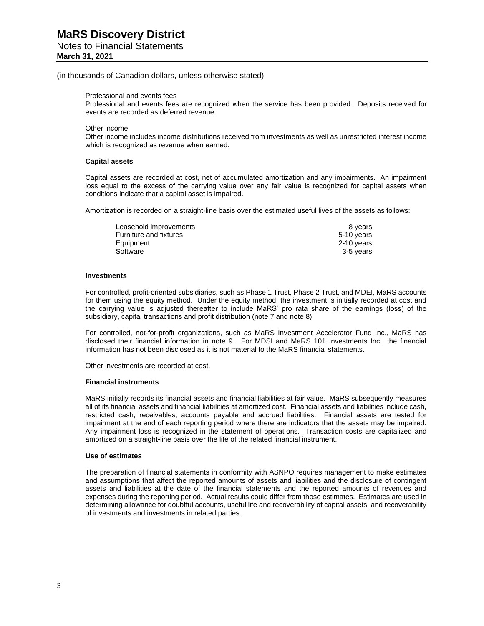#### Notes to Financial Statements **March 31, 2021**

### (in thousands of Canadian dollars, unless otherwise stated)

#### Professional and events fees

Professional and events fees are recognized when the service has been provided. Deposits received for events are recorded as deferred revenue.

#### Other income

Other income includes income distributions received from investments as well as unrestricted interest income which is recognized as revenue when earned.

#### **Capital assets**

Capital assets are recorded at cost, net of accumulated amortization and any impairments. An impairment loss equal to the excess of the carrying value over any fair value is recognized for capital assets when conditions indicate that a capital asset is impaired.

Amortization is recorded on a straight-line basis over the estimated useful lives of the assets as follows:

| Leasehold improvements | 8 vears    |
|------------------------|------------|
| Furniture and fixtures | 5-10 years |
| Equipment              | 2-10 years |
| Software               | 3-5 years  |

#### **Investments**

For controlled, profit-oriented subsidiaries, such as Phase 1 Trust, Phase 2 Trust, and MDEI, MaRS accounts for them using the equity method. Under the equity method, the investment is initially recorded at cost and the carrying value is adjusted thereafter to include MaRS' pro rata share of the earnings (loss) of the subsidiary, capital transactions and profit distribution (note 7 and note 8).

For controlled, not-for-profit organizations, such as MaRS Investment Accelerator Fund Inc., MaRS has disclosed their financial information in note 9. For MDSI and MaRS 101 Investments Inc., the financial information has not been disclosed as it is not material to the MaRS financial statements.

Other investments are recorded at cost.

#### **Financial instruments**

MaRS initially records its financial assets and financial liabilities at fair value. MaRS subsequently measures all of its financial assets and financial liabilities at amortized cost. Financial assets and liabilities include cash, restricted cash, receivables, accounts payable and accrued liabilities. Financial assets are tested for impairment at the end of each reporting period where there are indicators that the assets may be impaired. Any impairment loss is recognized in the statement of operations. Transaction costs are capitalized and amortized on a straight-line basis over the life of the related financial instrument.

#### **Use of estimates**

The preparation of financial statements in conformity with ASNPO requires management to make estimates and assumptions that affect the reported amounts of assets and liabilities and the disclosure of contingent assets and liabilities at the date of the financial statements and the reported amounts of revenues and expenses during the reporting period. Actual results could differ from those estimates. Estimates are used in determining allowance for doubtful accounts, useful life and recoverability of capital assets, and recoverability of investments and investments in related parties.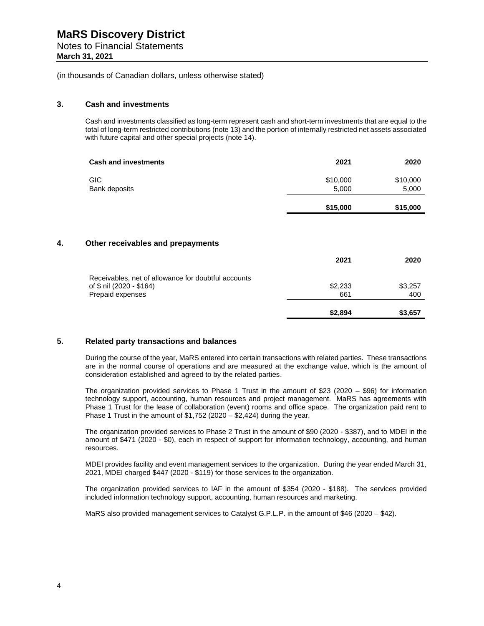Notes to Financial Statements

**March 31, 2021**

(in thousands of Canadian dollars, unless otherwise stated)

#### **3. Cash and investments**

Cash and investments classified as long-term represent cash and short-term investments that are equal to the total of long-term restricted contributions (note 13) and the portion of internally restricted net assets associated with future capital and other special projects (note 14).

| <b>Cash and investments</b> | 2021              | 2020              |
|-----------------------------|-------------------|-------------------|
| GIC.<br>Bank deposits       | \$10,000<br>5,000 | \$10,000<br>5,000 |
|                             | \$15,000          | \$15,000          |

#### **4. Other receivables and prepayments**

|                                                     | 2021    | 2020    |
|-----------------------------------------------------|---------|---------|
| Receivables, net of allowance for doubtful accounts |         |         |
| of \$ nil (2020 - \$164)                            | \$2,233 | \$3,257 |
| Prepaid expenses                                    | 661     | 400     |
|                                                     | \$2,894 | \$3,657 |

#### **5. Related party transactions and balances**

During the course of the year, MaRS entered into certain transactions with related parties. These transactions are in the normal course of operations and are measured at the exchange value, which is the amount of consideration established and agreed to by the related parties.

The organization provided services to Phase 1 Trust in the amount of \$23 (2020 – \$96) for information technology support, accounting, human resources and project management. MaRS has agreements with Phase 1 Trust for the lease of collaboration (event) rooms and office space. The organization paid rent to Phase 1 Trust in the amount of  $$1,752$  (2020 –  $$2,424$ ) during the year.

The organization provided services to Phase 2 Trust in the amount of \$90 (2020 - \$387), and to MDEI in the amount of \$471 (2020 - \$0), each in respect of support for information technology, accounting, and human resources.

MDEI provides facility and event management services to the organization. During the year ended March 31, 2021, MDEI charged \$447 (2020 - \$119) for those services to the organization.

The organization provided services to IAF in the amount of \$354 (2020 - \$188). The services provided included information technology support, accounting, human resources and marketing.

MaRS also provided management services to Catalyst G.P.L.P. in the amount of \$46 (2020 – \$42).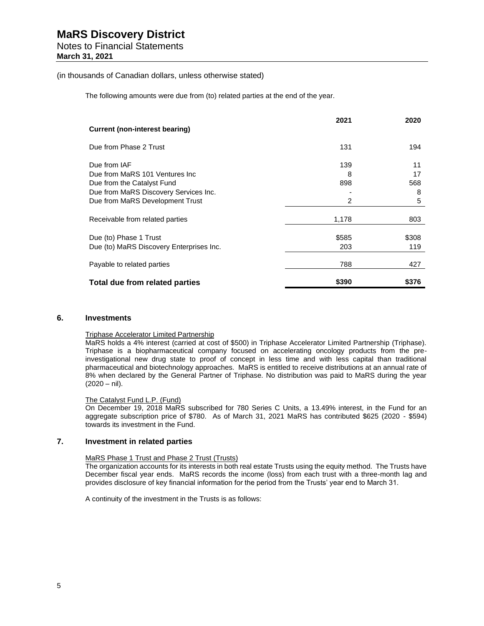## Notes to Financial Statements

**March 31, 2021**

#### (in thousands of Canadian dollars, unless otherwise stated)

The following amounts were due from (to) related parties at the end of the year.

|                                          | 2021  | 2020  |
|------------------------------------------|-------|-------|
| Current (non-interest bearing)           |       |       |
| Due from Phase 2 Trust                   | 131   | 194   |
| Due from IAF                             | 139   | 11    |
| Due from MaRS 101 Ventures Inc.          | 8     | 17    |
| Due from the Catalyst Fund               | 898   | 568   |
| Due from MaRS Discovery Services Inc.    |       | 8     |
| Due from MaRS Development Trust          | 2     | 5     |
| Receivable from related parties          | 1,178 | 803   |
| Due (to) Phase 1 Trust                   | \$585 | \$308 |
| Due (to) MaRS Discovery Enterprises Inc. | 203   | 119   |
| Payable to related parties               | 788   | 427   |
| Total due from related parties           | \$390 | \$376 |

#### **6. Investments**

### Triphase Accelerator Limited Partnership

MaRS holds a 4% interest (carried at cost of \$500) in Triphase Accelerator Limited Partnership (Triphase). Triphase is a biopharmaceutical company focused on accelerating oncology products from the preinvestigational new drug state to proof of concept in less time and with less capital than traditional pharmaceutical and biotechnology approaches. MaRS is entitled to receive distributions at an annual rate of 8% when declared by the General Partner of Triphase. No distribution was paid to MaRS during the year (2020 – nil).

#### The Catalyst Fund L.P. (Fund)

On December 19, 2018 MaRS subscribed for 780 Series C Units, a 13.49% interest, in the Fund for an aggregate subscription price of \$780. As of March 31, 2021 MaRS has contributed \$625 (2020 - \$594) towards its investment in the Fund.

#### **7. Investment in related parties**

#### MaRS Phase 1 Trust and Phase 2 Trust (Trusts)

The organization accounts for its interests in both real estate Trusts using the equity method. The Trusts have December fiscal year ends. MaRS records the income (loss) from each trust with a three-month lag and provides disclosure of key financial information for the period from the Trusts' year end to March 31.

A continuity of the investment in the Trusts is as follows: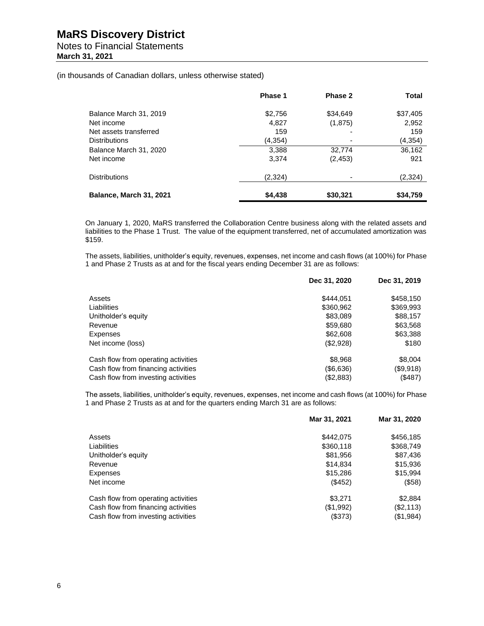#### Notes to Financial Statements **March 31, 2021**

(in thousands of Canadian dollars, unless otherwise stated)

|                         | Phase 1  | Phase 2  | Total    |
|-------------------------|----------|----------|----------|
| Balance March 31, 2019  | \$2,756  | \$34,649 | \$37,405 |
| Net income              | 4,827    | (1,875)  | 2,952    |
| Net assets transferred  | 159      |          | 159      |
| <b>Distributions</b>    | (4, 354) |          | (4, 354) |
| Balance March 31, 2020  | 3,388    | 32,774   | 36,162   |
| Net income              | 3,374    | (2, 453) | 921      |
| <b>Distributions</b>    | (2,324)  |          | (2,324)  |
| Balance, March 31, 2021 | \$4,438  | \$30,321 | \$34,759 |

On January 1, 2020, MaRS transferred the Collaboration Centre business along with the related assets and liabilities to the Phase 1 Trust. The value of the equipment transferred, net of accumulated amortization was \$159.

The assets, liabilities, unitholder's equity, revenues, expenses, net income and cash flows (at 100%) for Phase 1 and Phase 2 Trusts as at and for the fiscal years ending December 31 are as follows:

|                                     | Dec 31, 2020 | Dec 31, 2019 |
|-------------------------------------|--------------|--------------|
| Assets                              | \$444.051    | \$458,150    |
| Liabilities                         | \$360,962    | \$369,993    |
| Unitholder's equity                 | \$83,089     | \$88,157     |
| Revenue                             | \$59,680     | \$63,568     |
| Expenses                            | \$62,608     | \$63,388     |
| Net income (loss)                   | (\$2,928)    | \$180        |
| Cash flow from operating activities | \$8,968      | \$8,004      |
| Cash flow from financing activities | (\$6,636)    | (\$9,918)    |
| Cash flow from investing activities | (\$2,883)    | (\$487)      |

The assets, liabilities, unitholder's equity, revenues, expenses, net income and cash flows (at 100%) for Phase 1 and Phase 2 Trusts as at and for the quarters ending March 31 are as follows:

|                                     | Mar 31, 2021 | Mar 31, 2020 |
|-------------------------------------|--------------|--------------|
| Assets                              | \$442,075    | \$456,185    |
| Liabilities                         | \$360,118    | \$368,749    |
| Unitholder's equity                 | \$81,956     | \$87,436     |
| Revenue                             | \$14,834     | \$15,936     |
| Expenses                            | \$15,286     | \$15,994     |
| Net income                          | (\$452)      | (\$58)       |
| Cash flow from operating activities | \$3,271      | \$2,884      |
| Cash flow from financing activities | (\$1,992)    | (\$2,113)    |
| Cash flow from investing activities | (\$373)      | (\$1,984)    |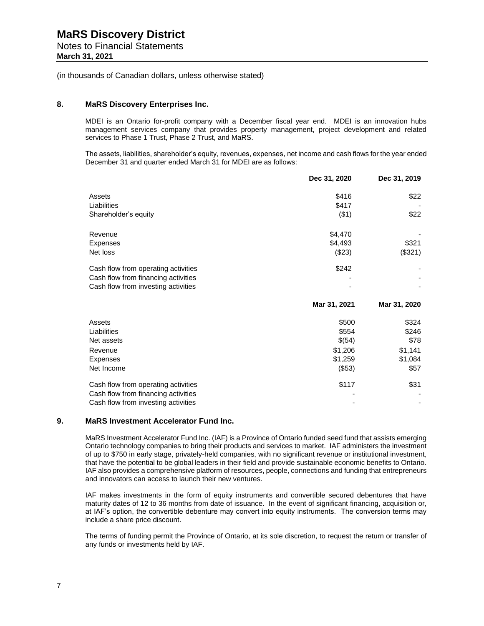Notes to Financial Statements **March 31, 2021**

(in thousands of Canadian dollars, unless otherwise stated)

#### **8. MaRS Discovery Enterprises Inc.**

MDEI is an Ontario for-profit company with a December fiscal year end. MDEI is an innovation hubs management services company that provides property management, project development and related services to Phase 1 Trust, Phase 2 Trust, and MaRS.

The assets, liabilities, shareholder's equity, revenues, expenses, net income and cash flows for the year ended December 31 and quarter ended March 31 for MDEI are as follows:

|                                     | Dec 31, 2020 | Dec 31, 2019 |
|-------------------------------------|--------------|--------------|
| Assets                              | \$416        | \$22         |
| Liabilities                         | \$417        |              |
| Shareholder's equity                | ( \$1)       | \$22         |
| Revenue                             | \$4,470      |              |
| Expenses                            | \$4,493      | \$321        |
| Net loss                            | (\$23)       | (\$321)      |
| Cash flow from operating activities | \$242        |              |
| Cash flow from financing activities |              |              |
| Cash flow from investing activities |              |              |
|                                     | Mar 31, 2021 | Mar 31, 2020 |
| Assets                              | \$500        | \$324        |
| Liabilities                         | \$554        | \$246        |
| Net assets                          | \$(54)       | \$78         |
| Revenue                             | \$1,206      | \$1,141      |
| Expenses                            | \$1,259      | \$1,084      |
| Net Income                          | (\$53)       | \$57         |
| Cash flow from operating activities | \$117        | \$31         |
| Cash flow from financing activities |              |              |
| Cash flow from investing activities |              |              |

#### **9. MaRS Investment Accelerator Fund Inc.**

MaRS Investment Accelerator Fund Inc. (IAF) is a Province of Ontario funded seed fund that assists emerging Ontario technology companies to bring their products and services to market. IAF administers the investment of up to \$750 in early stage, privately-held companies, with no significant revenue or institutional investment, that have the potential to be global leaders in their field and provide sustainable economic benefits to Ontario. IAF also provides a comprehensive platform of resources, people, connections and funding that entrepreneurs and innovators can access to launch their new ventures.

IAF makes investments in the form of equity instruments and convertible secured debentures that have maturity dates of 12 to 36 months from date of issuance. In the event of significant financing, acquisition or, at IAF's option, the convertible debenture may convert into equity instruments. The conversion terms may include a share price discount.

The terms of funding permit the Province of Ontario, at its sole discretion, to request the return or transfer of any funds or investments held by IAF.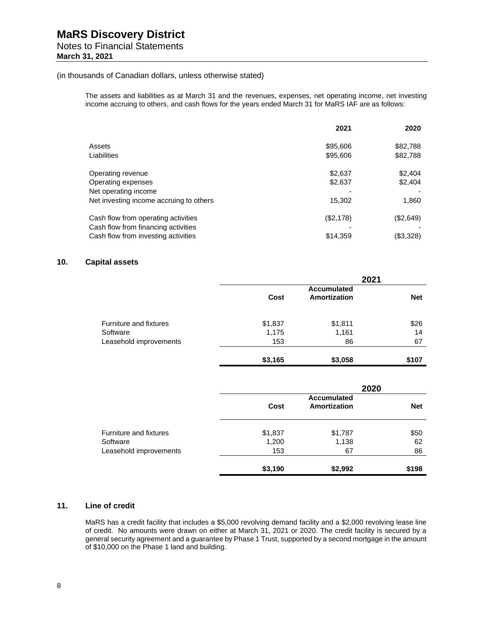# Notes to Financial Statements

**March 31, 2021**

#### (in thousands of Canadian dollars, unless otherwise stated)

The assets and liabilities as at March 31 and the revenues, expenses, net operating income, net investing income accruing to others, and cash flows for the years ended March 31 for MaRS IAF are as follows:

|                                                                            | 2021      | 2020      |
|----------------------------------------------------------------------------|-----------|-----------|
| Assets                                                                     | \$95,606  | \$82,788  |
| Liabilities                                                                | \$95,606  | \$82,788  |
| Operating revenue                                                          | \$2,637   | \$2,404   |
| Operating expenses                                                         | \$2,637   | \$2,404   |
| Net operating income                                                       |           |           |
| Net investing income accruing to others                                    | 15,302    | 1,860     |
| Cash flow from operating activities                                        | (\$2,178) | (\$2,649) |
| Cash flow from financing activities<br>Cash flow from investing activities | \$14,359  | (\$3,328) |

### **10. Capital assets**

|                        | 2021    |                                           |            |
|------------------------|---------|-------------------------------------------|------------|
|                        | Cost    | <b>Accumulated</b><br><b>Amortization</b> | <b>Net</b> |
| Furniture and fixtures | \$1,837 | \$1,811                                   | \$26       |
| Software               | 1,175   | 1,161                                     | 14         |
| Leasehold improvements | 153     | 86                                        | 67         |
|                        | \$3,165 | \$3,058                                   | \$107      |

|                        | 2020    |                                           |            |
|------------------------|---------|-------------------------------------------|------------|
|                        | Cost    | <b>Accumulated</b><br><b>Amortization</b> | <b>Net</b> |
| Furniture and fixtures | \$1,837 | \$1,787                                   | \$50       |
| Software               | 1,200   | 1,138                                     | 62         |
| Leasehold improvements | 153     | 67                                        | 86         |
|                        | \$3,190 | \$2,992                                   | \$198      |

#### **11. Line of credit**

MaRS has a credit facility that includes a \$5,000 revolving demand facility and a \$2,000 revolving lease line of credit. No amounts were drawn on either at March 31, 2021 or 2020. The credit facility is secured by a general security agreement and a guarantee by Phase 1 Trust, supported by a second mortgage in the amount of \$10,000 on the Phase 1 land and building.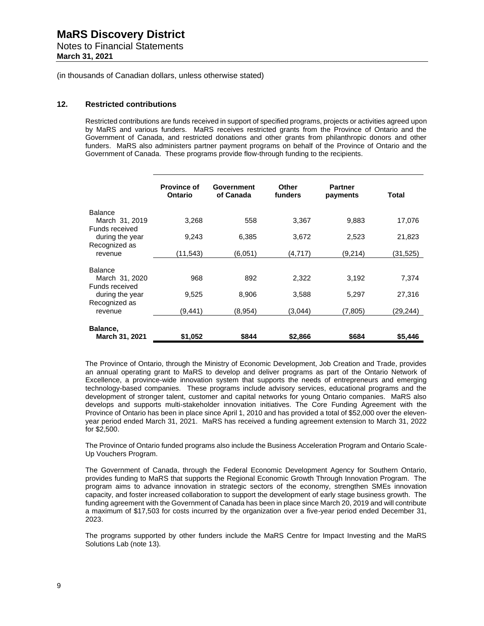Notes to Financial Statements **March 31, 2021**

(in thousands of Canadian dollars, unless otherwise stated)

#### **12. Restricted contributions**

Restricted contributions are funds received in support of specified programs, projects or activities agreed upon by MaRS and various funders. MaRS receives restricted grants from the Province of Ontario and the Government of Canada, and restricted donations and other grants from philanthropic donors and other funders. MaRS also administers partner payment programs on behalf of the Province of Ontario and the Government of Canada. These programs provide flow-through funding to the recipients.

|                                  | <b>Province of</b><br>Ontario | Government<br>of Canada | <b>Other</b><br>funders | <b>Partner</b><br>payments | Total    |
|----------------------------------|-------------------------------|-------------------------|-------------------------|----------------------------|----------|
| <b>Balance</b>                   |                               |                         |                         |                            |          |
| March 31, 2019<br>Funds received | 3,268                         | 558                     | 3,367                   | 9,883                      | 17,076   |
| during the year                  | 9.243                         | 6,385                   | 3,672                   | 2,523                      | 21,823   |
| Recognized as<br>revenue         | (11,543)                      | (6,051)                 | (4, 717)                | (9,214)                    | (31,525) |
| <b>Balance</b>                   |                               |                         |                         |                            |          |
| March 31, 2020<br>Funds received | 968                           | 892                     | 2,322                   | 3,192                      | 7,374    |
| during the year                  | 9,525                         | 8,906                   | 3,588                   | 5,297                      | 27,316   |
| Recognized as<br>revenue         | (9,441)                       | (8,954)                 | (3,044)                 | (7,805)                    | (29,244) |
| Balance,                         |                               |                         |                         |                            |          |
| March 31, 2021                   | \$1,052                       | \$844                   | \$2,866                 | \$684                      | \$5.446  |

The Province of Ontario, through the Ministry of Economic Development, Job Creation and Trade, provides an annual operating grant to MaRS to develop and deliver programs as part of the Ontario Network of Excellence, a province-wide innovation system that supports the needs of entrepreneurs and emerging technology-based companies. These programs include advisory services, educational programs and the development of stronger talent, customer and capital networks for young Ontario companies. MaRS also develops and supports multi-stakeholder innovation initiatives. The Core Funding Agreement with the Province of Ontario has been in place since April 1, 2010 and has provided a total of \$52,000 over the elevenyear period ended March 31, 2021. MaRS has received a funding agreement extension to March 31, 2022 for \$2,500.

The Province of Ontario funded programs also include the Business Acceleration Program and Ontario Scale-Up Vouchers Program.

The Government of Canada, through the Federal Economic Development Agency for Southern Ontario, provides funding to MaRS that supports the Regional Economic Growth Through Innovation Program. The program aims to advance innovation in strategic sectors of the economy, strengthen SMEs innovation capacity, and foster increased collaboration to support the development of early stage business growth. The funding agreement with the Government of Canada has been in place since March 20, 2019 and will contribute a maximum of \$17,503 for costs incurred by the organization over a five-year period ended December 31, 2023.

The programs supported by other funders include the MaRS Centre for Impact Investing and the MaRS Solutions Lab (note 13).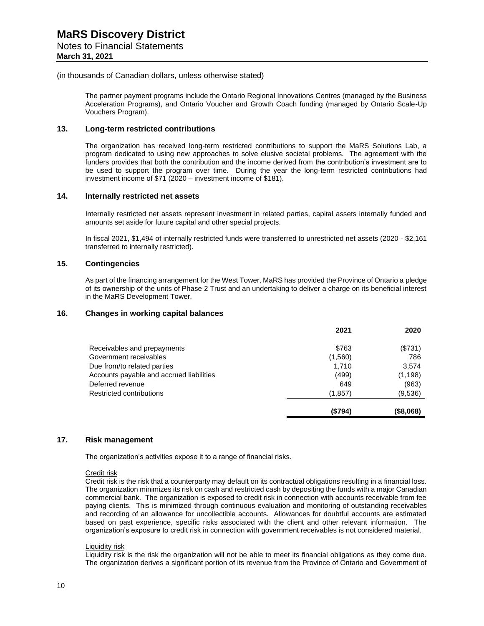(in thousands of Canadian dollars, unless otherwise stated)

The partner payment programs include the Ontario Regional Innovations Centres (managed by the Business Acceleration Programs), and Ontario Voucher and Growth Coach funding (managed by Ontario Scale-Up Vouchers Program).

#### **13. Long-term restricted contributions**

The organization has received long-term restricted contributions to support the MaRS Solutions Lab, a program dedicated to using new approaches to solve elusive societal problems. The agreement with the funders provides that both the contribution and the income derived from the contribution's investment are to be used to support the program over time. During the year the long-term restricted contributions had investment income of \$71 (2020 – investment income of \$181).

#### **14. Internally restricted net assets**

Internally restricted net assets represent investment in related parties, capital assets internally funded and amounts set aside for future capital and other special projects.

In fiscal 2021, \$1,494 of internally restricted funds were transferred to unrestricted net assets (2020 - \$2,161 transferred to internally restricted).

#### **15. Contingencies**

As part of the financing arrangement for the West Tower, MaRS has provided the Province of Ontario a pledge of its ownership of the units of Phase 2 Trust and an undertaking to deliver a charge on its beneficial interest in the MaRS Development Tower.

#### **16. Changes in working capital balances**

|                                          | 2021    | 2020         |
|------------------------------------------|---------|--------------|
| Receivables and prepayments              | \$763   | (\$731)      |
| Government receivables                   | (1,560) | 786          |
| Due from/to related parties              | 1.710   | 3,574        |
| Accounts payable and accrued liabilities | (499)   | (1, 198)     |
| Deferred revenue                         | 649     | (963)        |
| Restricted contributions                 | (1,857) | (9,536)      |
|                                          | (\$794) | $($ \$8,068) |

#### **17. Risk management**

The organization's activities expose it to a range of financial risks.

Credit risk

Credit risk is the risk that a counterparty may default on its contractual obligations resulting in a financial loss. The organization minimizes its risk on cash and restricted cash by depositing the funds with a major Canadian commercial bank. The organization is exposed to credit risk in connection with accounts receivable from fee paying clients. This is minimized through continuous evaluation and monitoring of outstanding receivables and recording of an allowance for uncollectible accounts. Allowances for doubtful accounts are estimated based on past experience, specific risks associated with the client and other relevant information. The organization's exposure to credit risk in connection with government receivables is not considered material.

#### Liquidity risk

Liquidity risk is the risk the organization will not be able to meet its financial obligations as they come due. The organization derives a significant portion of its revenue from the Province of Ontario and Government of